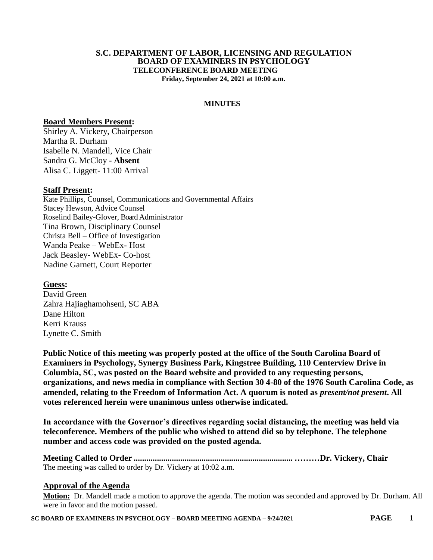#### **S.C. DEPARTMENT OF LABOR, LICENSING AND REGULATION BOARD OF EXAMINERS IN PSYCHOLOGY TELECONFERENCE BOARD MEETING Friday, September 24, 2021 at 10:00 a.m.**

**MINUTES**

#### **Board Members Present:**

Shirley A. Vickery, Chairperson Martha R. Durham Isabelle N. Mandell, Vice Chair Sandra G. McCloy - **Absent** Alisa C. Liggett- 11:00 Arrival

### **Staff Present:**

Kate Phillips, Counsel, Communications and Governmental Affairs Stacey Hewson, Advice Counsel Roselind Bailey-Glover, Board Administrator Tina Brown, Disciplinary Counsel Christa Bell – Office of Investigation Wanda Peake – WebEx- Host Jack Beasley- WebEx- Co-host Nadine Garnett, Court Reporter

**Guess:** David Green Zahra Hajiaghamohseni, SC ABA Dane Hilton Kerri Krauss Lynette C. Smith

**Public Notice of this meeting was properly posted at the office of the South Carolina Board of Examiners in Psychology, Synergy Business Park, Kingstree Building, 110 Centerview Drive in Columbia, SC, was posted on the Board website and provided to any requesting persons, organizations, and news media in compliance with Section 30 4-80 of the 1976 South Carolina Code, as amended, relating to the Freedom of Information Act. A quorum is noted as** *present/not present***. All votes referenced herein were unanimous unless otherwise indicated.**

**In accordance with the Governor's directives regarding social distancing, the meeting was held via teleconference. Members of the public who wished to attend did so by telephone. The telephone number and access code was provided on the posted agenda.**

**Meeting Called to Order ........................................................................... ………Dr. Vickery, Chair** The meeting was called to order by Dr. Vickery at 10:02 a.m.

### **Approval of the Agenda**

**Motion:** Dr. Mandell made a motion to approve the agenda. The motion was seconded and approved by Dr. Durham. All were in favor and the motion passed.

**SC BOARD OF EXAMINERS IN PSYCHOLOGY – BOARD MEETING AGENDA – 9/24/2021 PAGE 1**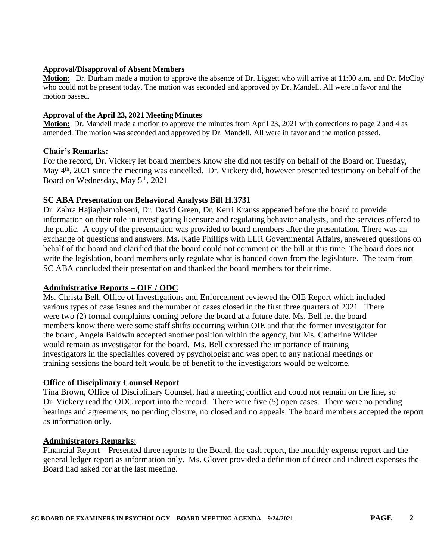#### **Approval/Disapproval of Absent Members**

**Motion:** Dr. Durham made a motion to approve the absence of Dr. Liggett who will arrive at 11:00 a.m. and Dr. McCloy who could not be present today. The motion was seconded and approved by Dr. Mandell. All were in favor and the motion passed.

### **Approval of the April 23, 2021 Meeting Minutes**

**Motion:** Dr. Mandell made a motion to approve the minutes from April 23, 2021 with corrections to page 2 and 4 as amended. The motion was seconded and approved by Dr. Mandell. All were in favor and the motion passed.

### **Chair's Remarks:**

For the record, Dr. Vickery let board members know she did not testify on behalf of the Board on Tuesday, May 4<sup>th</sup>, 2021 since the meeting was cancelled. Dr. Vickery did, however presented testimony on behalf of the Board on Wednesday, May 5<sup>th</sup>, 2021

## **SC ABA Presentation on Behavioral Analysts Bill H.3731**

Dr. Zahra Hajiaghamohseni, Dr. David Green, Dr. Kerri Krauss appeared before the board to provide information on their role in investigating licensure and regulating behavior analysts, and the services offered to the public. A copy of the presentation was provided to board members after the presentation. There was an exchange of questions and answers. Ms**.** Katie Phillips with LLR Governmental Affairs, answered questions on behalf of the board and clarified that the board could not comment on the bill at this time. The board does not write the legislation, board members only regulate what is handed down from the legislature. The team from SC ABA concluded their presentation and thanked the board members for their time.

### **Administrative Reports – OIE / ODC**

Ms. Christa Bell, Office of Investigations and Enforcement reviewed the OIE Report which included various types of case issues and the number of cases closed in the first three quarters of 2021. There were two (2) formal complaints coming before the board at a future date. Ms. Bell let the board members know there were some staff shifts occurring within OIE and that the former investigator for the board, Angela Baldwin accepted another position within the agency, but Ms. Catherine Wilder would remain as investigator for the board. Ms. Bell expressed the importance of training investigators in the specialties covered by psychologist and was open to any national meetings or training sessions the board felt would be of benefit to the investigators would be welcome.

### **Office of Disciplinary Counsel Report**

Tina Brown, Office of DisciplinaryCounsel, had a meeting conflict and could not remain on the line, so Dr. Vickery read the ODC report into the record. There were five (5) open cases. There were no pending hearings and agreements, no pending closure, no closed and no appeals. The board members accepted the report as information only.

### **Administrators Remarks**:

Financial Report – Presented three reports to the Board, the cash report, the monthly expense report and the general ledger report as information only. Ms. Glover provided a definition of direct and indirect expenses the Board had asked for at the last meeting.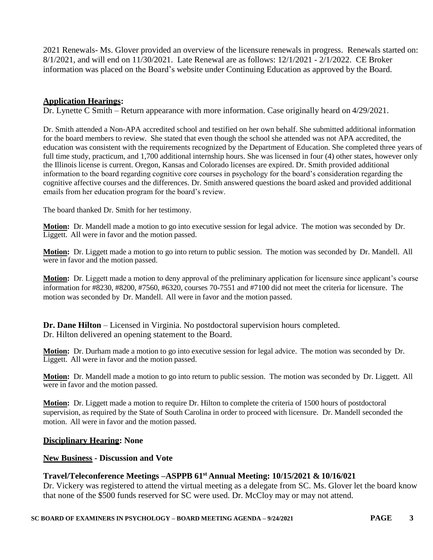2021 Renewals- Ms. Glover provided an overview of the licensure renewals in progress. Renewals started on: 8/1/2021, and will end on 11/30/2021. Late Renewal are as follows: 12/1/2021 - 2/1/2022. CE Broker information was placed on the Board's website under Continuing Education as approved by the Board.

### **Application Hearings:**

Dr. Lynette C Smith – Return appearance with more information. Case originally heard on 4/29/2021.

Dr. Smith attended a Non-APA accredited school and testified on her own behalf. She submitted additional information for the board members to review. She stated that even though the school she attended was not APA accredited, the education was consistent with the requirements recognized by the Department of Education. She completed three years of full time study, practicum, and 1,700 additional internship hours. She was licensed in four (4) other states, however only the Illinois license is current. Oregon, Kansas and Colorado licenses are expired. Dr. Smith provided additional information to the board regarding cognitive core courses in psychology for the board's consideration regarding the cognitive affective courses and the differences. Dr. Smith answered questions the board asked and provided additional emails from her education program for the board's review.

The board thanked Dr. Smith for her testimony.

**Motion:** Dr. Mandell made a motion to go into executive session for legal advice. The motion was seconded by Dr. Liggett. All were in favor and the motion passed.

**Motion:** Dr. Liggett made a motion to go into return to public session. The motion was seconded by Dr. Mandell. All were in favor and the motion passed.

**Motion:** Dr. Liggett made a motion to deny approval of the preliminary application for licensure since applicant's course information for #8230, #8200, #7560, #6320, courses 70-7551 and #7100 did not meet the criteria for licensure. The motion was seconded by Dr. Mandell. All were in favor and the motion passed.

**Dr. Dane Hilton** – Licensed in Virginia. No postdoctoral supervision hours completed. Dr. Hilton delivered an opening statement to the Board.

**Motion:** Dr. Durham made a motion to go into executive session for legal advice. The motion was seconded by Dr. Liggett. All were in favor and the motion passed.

**Motion:** Dr. Mandell made a motion to go into return to public session. The motion was seconded by Dr. Liggett. All were in favor and the motion passed.

**Motion:** Dr. Liggett made a motion to require Dr. Hilton to complete the criteria of 1500 hours of postdoctoral supervision, as required by the State of South Carolina in order to proceed with licensure. Dr. Mandell seconded the motion. All were in favor and the motion passed.

### **Disciplinary Hearing: None**

### **New Business - Discussion and Vote**

# **Travel/Teleconference Meetings –ASPPB 61st Annual Meeting: 10/15/2021 & 10/16/021**

Dr. Vickery was registered to attend the virtual meeting as a delegate from SC. Ms. Glover let the board know that none of the \$500 funds reserved for SC were used. Dr. McCloy may or may not attend.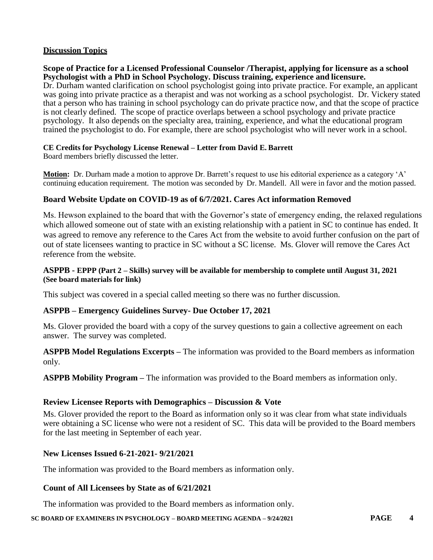# **Discussion Topics**

### **Scope of Practice for a Licensed Professional Counselor /Therapist, applying for licensure as a school Psychologist with a PhD in School Psychology. Discuss training, experience and licensure.**

Dr. Durham wanted clarification on school psychologist going into private practice. For example, an applicant was going into private practice as a therapist and was not working as a school psychologist. Dr. Vickery stated that a person who has training in school psychology can do private practice now, and that the scope of practice is not clearly defined. The scope of practice overlaps between a school psychology and private practice psychology. It also depends on the specialty area, training, experience, and what the educational program trained the psychologist to do. For example, there are school psychologist who will never work in a school.

### **CE Credits for Psychology License Renewal – Letter from David E. Barrett**

Board members briefly discussed the letter.

**Motion:** Dr. Durham made a motion to approve Dr. Barrett's request to use his editorial experience as a category 'A' continuing education requirement. The motion was seconded by Dr. Mandell. All were in favor and the motion passed.

## **Board Website Update on COVID-19 as of 6/7/2021. Cares Act information Removed**

Ms. Hewson explained to the board that with the Governor's state of emergency ending, the relaxed regulations which allowed someone out of state with an existing relationship with a patient in SC to continue has ended. It was agreed to remove any reference to the Cares Act from the website to avoid further confusion on the part of out of state licensees wanting to practice in SC without a SC license. Ms. Glover will remove the Cares Act reference from the website.

### **ASPPB - EPPP (Part 2 – Skills) survey will be available for membership to complete until August 31, 2021 (See board materials for link)**

This subject was covered in a special called meeting so there was no further discussion.

### **ASPPB – Emergency Guidelines Survey- Due October 17, 2021**

Ms. Glover provided the board with a copy of the survey questions to gain a collective agreement on each answer. The survey was completed.

**ASPPB Model Regulations Excerpts –** The information was provided to the Board members as information only.

**ASPPB Mobility Program –** The information was provided to the Board members as information only.

# **Review Licensee Reports with Demographics – Discussion & Vote**

Ms. Glover provided the report to the Board as information only so it was clear from what state individuals were obtaining a SC license who were not a resident of SC. This data will be provided to the Board members for the last meeting in September of each year.

# **New Licenses Issued 6-21-2021- 9/21/2021**

The information was provided to the Board members as information only.

# **Count of All Licensees by State as of 6/21/2021**

The information was provided to the Board members as information only.

**SC BOARD OF EXAMINERS IN PSYCHOLOGY – BOARD MEETING AGENDA – 9/24/2021 PAGE 4**